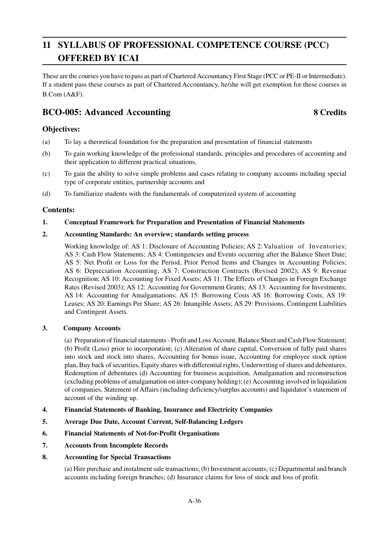# **11 SYLLABUS OF PROFESSIONAL COMPETENCE COURSE (PCC) OFFERED BY ICAI**

These are the courses you have to pass as part of Chartered Accountancy First Stage (PCC or PE-II or Intermediate). If a student pass these courses as part of Chartered Accountancy, he/she will get exemption for these courses in B.Com (A&F).

# **BCO-005: Advanced Accounting 8 Credits**

# **Objectives:**

- (a) To lay a theoretical foundation for the preparation and presentation of financial statements
- (b) To gain working knowledge of the professional standards, principles and procedures of accounting and their application to different practical situations,
- (c) To gain the ability to solve simple problems and cases relating to company accounts including special type of corporate entities, partnership accounts and
- (d) To familiarize students with the fundamentals of computerized system of accounting

#### **Contents:**

#### **1. Conceptual Framework for Preparation and Presentation of Financial Statements**

#### **2. Accounting Standards: An overview; standards setting process**

Working knowledge of: AS 1: Disclosure of Accounting Policies; AS 2: Valuation of Inventories; AS 3: Cash Flow Statements; AS 4: Contingencies and Events occurring after the Balance Sheet Date; AS 5: Net Profit or Loss for the Period, Prior Period Items and Changes in Accounting Policies; AS 6: Depreciation Accounting; AS 7: Construction Contracts (Revised 2002); AS 9: Revenue Recognition; AS 10: Accounting for Fixed Assets; AS 11: The Effects of Changes in Foreign Exchange Rates (Revised 2003); AS 12: Accounting for Government Grants; AS 13: Accounting for Investments; AS 14: Accounting for Amalgamations; AS 15: Borrowing Costs AS 16: Borrowing Costs; AS 19: Leases; AS 20: Earnings Per Share; AS 26: Intangible Assets; AS 29: Provisions, Contingent Liabilities and Contingent Assets.

#### **3. Company Accounts**

(a) Preparation of financial statements - Profit and Loss Account, Balance Sheet and Cash Flow Statement; (b) Profit (Loss) prior to incorporation; (c) Alteration of share capital, Conversion of fully paid shares into stock and stock into shares, Accounting for bonus issue, Accounting for employee stock option plan, Buy back of securities, Equity shares with differential rights, Underwriting of shares and debentures, Redemption of debentures (d) Accounting for business acquisition, Amalgamation and reconstruction (excluding problems of amalgamation on inter-company holding); (e) Accounting involved in liquidation of companies, Statement of Affairs (including deficiency/surplus accounts) and liquidator's statement of account of the winding up.

- **4. Financial Statements of Banking, Insurance and Electricity Companies**
- **5. Average Due Date, Account Current, Self-Balancing Ledgers**
- **6. Financial Statements of Not-for-Profit Organisations**
- **7. Accounts from Incomplete Records**
- **8. Accounting for Special Transactions**

(a) Hire purchase and instalment sale transactions; (b) Investment accounts; (c) Departmental and branch accounts including foreign branches; (d) Insurance claims for loss of stock and loss of profit.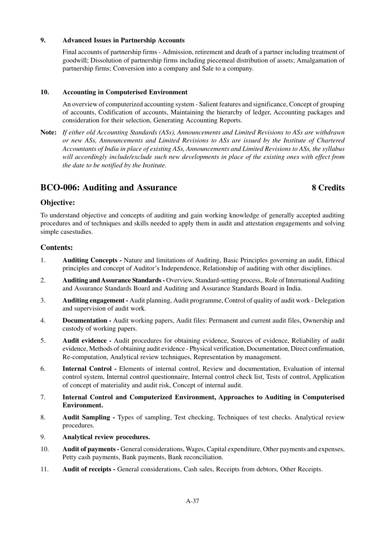#### **9. Advanced Issues in Partnership Accounts**

Final accounts of partnership firms - Admission, retirement and death of a partner including treatment of goodwill; Dissolution of partnership firms including piecemeal distribution of assets; Amalgamation of partnership firms; Conversion into a company and Sale to a company.

#### **10. Accounting in Computerised Environment**

An overview of computerized accounting system - Salient features and significance, Concept of grouping of accounts, Codification of accounts, Maintaining the hierarchy of ledger, Accounting packages and consideration for their selection, Generating Accounting Reports.

**Note:** *If either old Accounting Standards (ASs), Announcements and Limited Revisions to ASs are withdrawn or new ASs, Announcements and Limited Revisions to ASs are issued by the Institute of Chartered Accountants of India in place of existing ASs, Announcements and Limited Revisions to ASs, the syllabus will accordingly include/exclude such new developments in place of the existing ones with effect from the date to be notified by the Institute.*

# **BCO-006: Auditing and Assurance 8 Credits**

#### **Objective:**

To understand objective and concepts of auditing and gain working knowledge of generally accepted auditing procedures and of techniques and skills needed to apply them in audit and attestation engagements and solving simple casestudies.

#### **Contents:**

- 1. **Auditing Concepts -** Nature and limitations of Auditing, Basic Principles governing an audit, Ethical principles and concept of Auditor's Independence, Relationship of auditing with other disciplines.
- 2. **Auditing and Assurance Standards -** Overview, Standard-setting process,. Role of International Auditing and Assurance Standards Board and Auditing and Assurance Standards Board in India.
- 3. **Auditing engagement -** Audit planning, Audit programme, Control of quality of audit work Delegation and supervision of audit work.
- 4. **Documentation -** Audit working papers, Audit files: Permanent and current audit files, Ownership and custody of working papers.
- 5. **Audit evidence -** Audit procedures for obtaining evidence, Sources of evidence, Reliability of audit evidence, Methods of obtaining audit evidence - Physical verification, Documentation, Direct confirmation, Re-computation, Analytical review techniques, Representation by management.
- 6. **Internal Control -** Elements of internal control, Review and documentation, Evaluation of internal control system, Internal control questionnaire, Internal control check list, Tests of control, Application of concept of materiality and audit risk, Concept of internal audit.
- 7. **Internal Control and Computerized Environment, Approaches to Auditing in Computerised Environment.**
- 8. **Audit Sampling -** Types of sampling, Test checking, Techniques of test checks. Analytical review procedures.
- 9. **Analytical review procedures.**
- 10. **Audit of payments -** General considerations, Wages, Capital expenditure, Other payments and expenses, Petty cash payments, Bank payments, Bank reconciliation.
- 11. **Audit of receipts -** General considerations, Cash sales, Receipts from debtors, Other Receipts.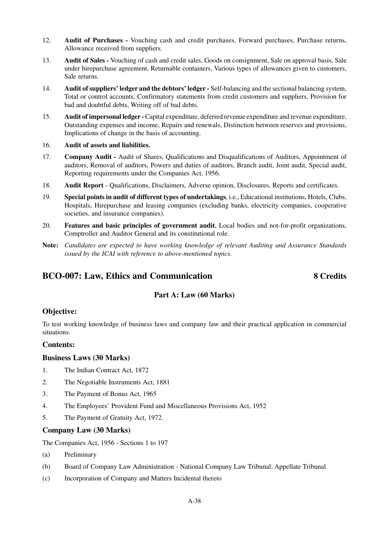- 12. **Audit of Purchases -** Vouching cash and credit purchases, Forward purchases, Purchase returns, Allowance received from suppliers.
- 13. **Audit of Sales -** Vouching of cash and credit sales, Goods on consignment, Sale on approval basis, Sale under hirepurchase agreement, Returnable containers, Various types of allowances given to customers, Sale returns.
- 14. **Audit of suppliers' ledger and the debtors' ledger -** Self-balancing and the sectional balancing system, Total or control accounts, Confirmatory statements from credit customers and suppliers, Provision for bad and doubtful debts, Writing off of bad debts.
- 15. **Audit of impersonal ledger -** Capital expenditure, deferred revenue expenditure and revenue expenditure, Outstanding expenses and income, Repairs and renewals, Distinction between reserves and provisions, Implications of change in the basis of accounting.
- 16. **Audit of assets and liabilities.**
- 17. **Company Audit -** Audit of Shares, Qualifications and Disqualifications of Auditors, Appointment of auditors, Removal of auditors, Powers and duties of auditors, Branch audit, Joint audit, Special audit, Reporting requirements under the Companies Act, 1956.
- 18. **Audit Report**  Qualifications, Disclaimers, Adverse opinion, Disclosures, Reports and certificates.
- 19. **Special points in audit of different types of undertakings**, i.e., Educational institutions, Hotels, Clubs, Hospitals, Hirepurchase and leasing companies (excluding banks, electricity companies, cooperative societies, and insurance companies).
- 20. **Features and basic principles of government audit**, Local bodies and not-for-profit organizations, Comptroller and Auditor General and its constitutional role.
- **Note:** *Candidates are expected to have working knowledge of relevant Auditing and Assurance Standards issued by the ICAI with reference to above-mentioned topics.*

# **BCO-007: Law, Ethics and Communication 8 Credits**

## **Part A: Law (60 Marks)**

#### **Objective:**

To test working knowledge of business laws and company law and their practical application in commercial situations.

#### **Contents:**

#### **Business Laws (30 Marks)**

- 1. The Indian Contract Act, 1872
- 2. The Negotiable Instruments Act, 1881
- 3. The Payment of Bonus Act, 1965
- 4. The Employees' Provident Fund and Miscellaneous Provisions Act, 1952
- 5. The Payment of Gratuity Act, 1972.

#### **Company Law (30 Marks)**

The Companies Act, 1956 - Sections 1 to 197

- (a) Preliminary
- (b) Board of Company Law Administration National Company Law Tribunal; Appellate Tribunal
- (c) Incorporation of Company and Matters Incidental thereto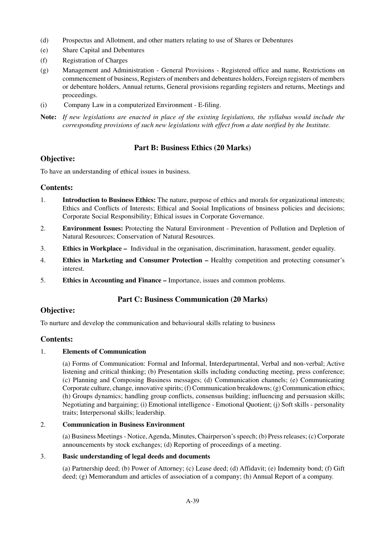- (d) Prospectus and Allotment, and other matters relating to use of Shares or Debentures
- (e) Share Capital and Debentures
- (f) Registration of Charges
- (g) Management and Administration General Provisions Registered office and name, Restrictions on commencement of business, Registers of members and debentures holders, Foreign registers of members or debenture holders, Annual returns, General provisions regarding registers and returns, Meetings and proceedings.
- (i) Company Law in a computerized Environment E-filing.
- **Note:** *If new legislations are enacted in place of the existing legislations, the syllabus would include the corresponding provisions of such new legislations with effect from a date notified by the Institute.*

#### **Part B: Business Ethics (20 Marks)**

#### **Objective:**

To have an understanding of ethical issues in business.

#### **Contents:**

- 1. **Introduction to Business Ethics:** The nature, purpose of ethics and morals for organizational interests; Ethics and Conflicts of Interests; Ethical and Sooial Implications of bnsiness policies and decisions; Corporate Social Responsibility; Ethical issues in Corporate Governance.
- 2. **Environment Issues:** Protecting the Natural Environment Prevention of Pollution and Depletion of Natural Resources; Conservation of Natural Resources.
- 3. **Ethics in Workplace** Individual in the organisation, discrimination, harassment, gender equality.
- 4. **Ethics in Marketing and Consumer Protection –** Healthy competition and protecting consumer's interest.
- 5. **Ethics in Accounting and Finance –** Importance, issues and common problems.

#### **Part C: Business Communication (20 Marks)**

#### **Objective:**

To nurture and develop the communication and behavioural skills relating to business

#### **Contents:**

#### 1. **Elements of Communication**

(a) Forms of Communication: Formal and Informal, Interdepartmental, Verbal and non-verbal; Active listening and critical thinking; (b) Presentation skills including conducting meeting, press conference; (c) Planning and Composing Business messages; (d) Communication channels; (e) Communicating Corporate culture, change, innovative spirits; (f) Communication breakdowns; (g) Communication ethics; (h) Groups dynamics; handling group conflicts, consensus building; influencing and persuasion skills; Negotiating and bargaining; (i) Emotional intelligence - Emotional Quotient; (j) Soft skills - personality traits; Interpersonal skills; leadership.

#### 2. **Communication in Business Environment**

(a) Business Meetings - Notice, Agenda, Minutes, Chairperson's speech; (b) Press releases; (c) Corporate announcements by stock exchanges; (d) Reporting of proceedings of a meeting.

#### 3. **Basic understanding of legal deeds and documents**

(a) Partnership deed; (b) Power of Attorney; (c) Lease deed; (d) Affidavit; (e) Indemnity bond; (f) Gift deed; (g) Memorandum and articles of association of a company; (h) Annual Report of a company.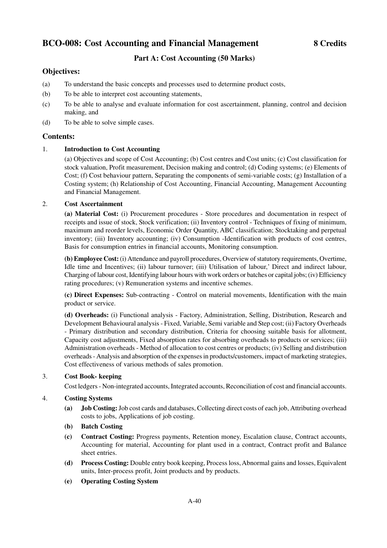# **BCO-008: Cost Accounting and Financial Management 8 Credits**

# **Part A: Cost Accounting (50 Marks)**

#### **Objectives:**

- (a) To understand the basic concepts and processes used to determine product costs,
- (b) To be able to interpret cost accounting statements,
- (c) To be able to analyse and evaluate information for cost ascertainment, planning, control and decision making, and
- (d) To be able to solve simple cases.

#### **Contents:**

#### 1. **Introduction to Cost Accounting**

(a) Objectives and scope of Cost Accounting; (b) Cost centres and Cost units; (c) Cost classification for stock valuation, Profit measurement, Decision making and control; (d) Coding systems; (e) Elements of Cost; (f) Cost behaviour pattern, Separating the components of semi-variable costs; (g) Installation of a Costing system; (h) Relationship of Cost Accounting, Financial Accounting, Management Accounting and Financial Management.

#### 2. **Cost Ascertainment**

**(a) Material Cost:** (i) Procurement procedures - Store procedures and documentation in respect of receipts and issue of stock, Stock verification; (ii) Inventory control - Techniques of fixing of minimum, maximum and reorder levels, Economic Order Quantity, ABC classification; Stocktaking and perpetual inventory; (iii) Inventory accounting; (iv) Consumption -Identification with products of cost centres, Basis for consumption entries in financial accounts, Monitoring consumption.

**(b) Employee Cost:** (i) Attendance and payroll procedures, Overview of statutory requirements, Overtime, Idle time and Incentives; (ii) labour turnover; (iii) Utilisation of labour,' Direct and indirect labour, Charging of labour cost, Identifying labour hours with work orders or batches or capital jobs; (iv) Efficiency rating procedures; (v) Remuneration systems and incentive schemes.

**(c) Direct Expenses:** Sub-contracting - Control on material movements, Identification with the main product or service.

**(d) Overheads:** (i) Functional analysis - Factory, Administration, Selling, Distribution, Research and Development Behavioural analysis - Fixed, Variable, Semi variable and Step cost; (ii) Factory Overheads - Primary distribution and secondary distribution, Criteria for choosing suitable basis for allotment, Capacity cost adjustments, Fixed absorption rates for absorbing overheads to products or services; (iii) Administration overheads - Method of allocation to cost centres or products; (iv) Selling and distribution overheads - Analysis and absorption of the expenses in products/customers, impact of marketing strategies, Cost effectiveness of various methods of sales promotion.

#### 3. **Cost Book- keeping**

Cost ledgers - Non-integrated accounts, Integrated accounts, Reconciliation of cost and financial accounts.

#### 4. **Costing Systems**

- **(a) Job Costing:** Job cost cards and databases, Collecting direct costs of each job, Attributing overhead costs to jobs, Applications of job costing.
- **(b) Batch Costing**
- **(c) Contract Costing:** Progress payments, Retention money, Escalation clause, Contract accounts, Accounting for material, Accounting for plant used in a contract, Contract profit and Balance sheet entries.
- **(d) Process Costing:** Double entry book keeping, Process loss, Abnormal gains and losses, Equivalent units, Inter-process profit, Joint products and by products.
- **(e) Operating Costing System**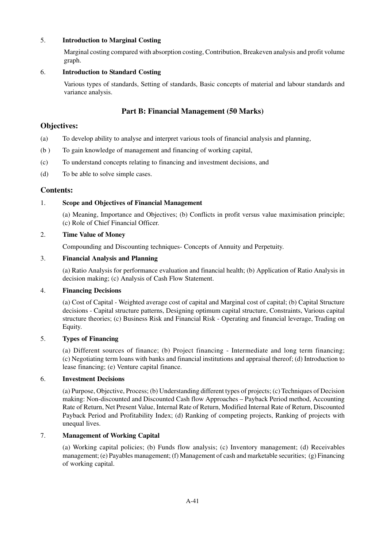#### 5. **Introduction to Marginal Costing**

Marginal costing compared with absorption costing, Contribution, Breakeven analysis and profit volume graph.

#### 6. **Introduction to Standard Costing**

Various types of standards, Setting of standards, Basic concepts of material and labour standards and variance analysis.

#### **Part B: Financial Management (50 Marks)**

#### **Objectives:**

- (a) To develop ability to analyse and interpret various tools of financial analysis and planning,
- (b ) To gain knowledge of management and financing of working capital,
- (c) To understand concepts relating to financing and investment decisions, and
- (d) To be able to solve simple cases.

#### **Contents:**

#### 1. **Scope and Objectives of Financial Management**

(a) Meaning, Importance and Objectives; (b) Conflicts in profit versus value maximisation principle; (c) Role of Chief Financial Officer.

#### 2. **Time Value of Money**

Compounding and Discounting techniques- Concepts of Annuity and Perpetuity.

#### 3. **Financial Analysis and Planning**

(a) Ratio Analysis for performance evaluation and financial health; (b) Application of Ratio Analysis in decision making; (c) Analysis of Cash Flow Statement.

#### 4. **Financing Decisions**

(a) Cost of Capital - Weighted average cost of capital and Marginal cost of capital; (b) Capital Structure decisions - Capital structure patterns, Designing optimum capital structure, Constraints, Various capital structure theories; (c) Business Risk and Financial Risk - Operating and financial leverage, Trading on Equity.

#### 5. **Types of Financing**

(a) Different sources of finance; (b) Project financing - Intermediate and long term financing; (c) Negotiating term loans with banks and financial institutions and appraisal thereof; (d) Introduction to lease financing; (e) Venture capital finance.

#### 6. **Investment Decisions**

(a) Purpose, Objective, Process; (b) Understanding different types of projects; (c) Techniques of Decision making: Non-discounted and Discounted Cash flow Approaches – Payback Period method, Accounting Rate of Return, Net Present Value, Internal Rate of Return, Modified Internal Rate of Return, Discounted Payback Period and Profitability Index; (d) Ranking of competing projects, Ranking of projects with unequal lives.

#### 7. **Management of Working Capital**

(a) Working capital policies; (b) Funds flow analysis; (c) Inventory management; (d) Receivables management; (e) Payables management; (f) Management of cash and marketable securities; (g) Financing of working capital.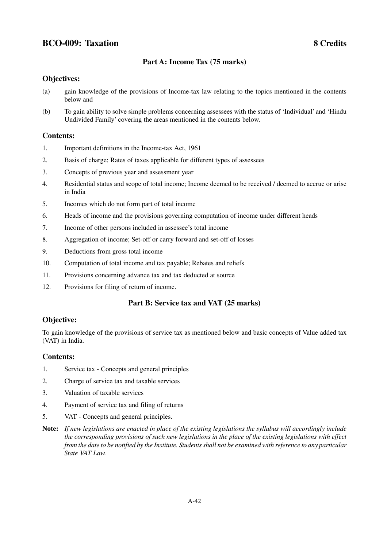# **BCO-009: Taxation 8 Credits**

### **Part A: Income Tax (75 marks)**

#### **Objectives:**

- (a) gain knowledge of the provisions of Income-tax law relating to the topics mentioned in the contents below and
- (b) To gain ability to solve simple problems concerning assessees with the status of 'Individual' and 'Hindu Undivided Family' covering the areas mentioned in the contents below.

#### **Contents:**

- 1. Important definitions in the Income-tax Act, 1961
- 2. Basis of charge; Rates of taxes applicable for different types of assessees
- 3. Concepts of previous year and assessment year
- 4. Residential status and scope of total income; Income deemed to be received / deemed to accrue or arise in India
- 5. Incomes which do not form part of total income
- 6. Heads of income and the provisions governing computation of income under different heads
- 7. Income of other persons included in assessee's total income
- 8. Aggregation of income; Set-off or carry forward and set-off of losses
- 9. Deductions from gross total income
- 10. Computation of total income and tax payable; Rebates and reliefs
- 11. Provisions concerning advance tax and tax deducted at source
- 12. Provisions for filing of return of income.

#### **Part B: Service tax and VAT (25 marks)**

#### **Objective:**

To gain knowledge of the provisions of service tax as mentioned below and basic concepts of Value added tax (VAT) in India.

#### **Contents:**

- 1. Service tax Concepts and general principles
- 2. Charge of service tax and taxable services
- 3. Valuation of taxable services
- 4. Payment of service tax and filing of returns
- 5. VAT Concepts and general principles.
- **Note:** *If new legislations are enacted in place of the existing legislations the syllabus will accordingly include the corresponding provisions of such new legislations in the place of the existing legislations with effect from the date to be notified by the Institute. Students shall not be examined with reference to any particular State VAT Law.*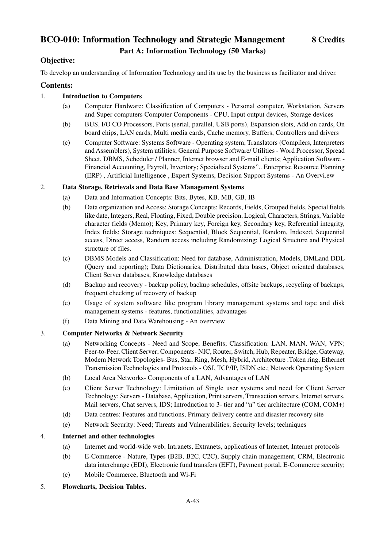# **BCO-010: Information Technology and Strategic Management 8 Credits Part A: Information Technology (50 Marks)**

## **Objective:**

To develop an understanding of Information Technology and its use by the business as facilitator and driver.

#### **Contents:**

#### 1. **Introduction to Computers**

- (a) Computer Hardware: Classification of Computers Personal computer, Workstation, Servers and Super computers Computer Components - CPU, Input output devices, Storage devices
- (b) BUS, I/O CO Processors, Ports (serial, parallel, USB ports), Expansion slots, Add on cards, On board chips, LAN cards, Multi media cards, Cache memory, Buffers, Controllers and drivers
- (c) Computer Software: Systems Software Operating system, Translators (Compilers, Interpreters and Assemblers), System utilities; General Purpose Software/ Utilities - Word Processor, Spread Sheet, DBMS, Scheduler / Planner, Internet browser and E-mail clients; Application Software - Financial Accounting, Payroll, Inventory; Specialised Systems".. Enterprise Resource Planning (ERP) , Artificial Intelligence , Expert Systems, Decision Support Systems - An Overvi.ew

#### 2. **Data Storage, Retrievals and Data Base Management Systems**

- (a) Data and Information Concepts: Bits, Bytes, KB, MB, GB, IB
- (b) Data organization and Access: Storage Concepts: Records, Fields, Grouped fields, Special fields like date, Integers, Real, Floating, Fixed, Double precision, Logical, Characters, Strings, Variable character fields (Memo); Key, Primary key, Foreign key, Secondary key, Referential integrity, Index fields; Storage tecbniques: Sequential, Block Sequential, Random, Indexed, Sequential access, Direct access, Random access including Randomizing; Logical Structure and Physical structure of files.
- (c) DBMS Models and Classification: Need for database, Administration, Models, DMLand DDL (Query and reporting); Data Dictionaries, Distributed data bases, Object oriented databases, Client Server databases, Knowledge databases
- (d) Backup and recovery backup policy, backup schedules, offsite backups, recycling of backups, frequent checking of recovery of backup
- (e) Usage of system software like program library management systems and tape and disk management systems - features, functionalities, advantages
- (f) Data Mining and Data Warehousing An overview

#### 3. **Computer Networks & Network Security**

- (a) Networking Concepts Need and Scope, Benefits; Classification: LAN, MAN, WAN, VPN; Peer-to-Peer, Client Server; Components- NIC, Router, Switch, Hub, Repeater, Bridge, Gateway, Modem Network Topologies- Bus, Star, Ring, Mesh, Hybrid, Architecture :Token ring, Ethernet Transmission Technologies and Protocols - OSI, TCP/IP, ISDN etc.; Network Operating System
- (b) Local Area Networks- Components of a LAN, Advantages of LAN
- (c) Client Server Technology: Limitation of Single user systems and need for Client Server Technology; Servers - Database, Application, Print servers, Transaction servers, Internet servers, Mail servers, Chat servers, IDS; Introduction to 3- tier and "n" tier architecture (COM, COM+)
- (d) Data centres: Features and functions, Primary delivery centre and disaster recovery site
- (e) Network Security: Need; Threats and Vulnerabilities; Security levels; techniques

#### 4. **Internet and other technologies**

- (a) Internet and world-wide web, Intranets, Extranets, applications of Internet, Internet protocols
- (b) E-Commerce Nature, Types (B2B, B2C, C2C), Supply chain management, CRM, Electronic data interchange (EDI), Electronic fund transfers (EFT), Payment portal, E-Commerce security;
- (c) Mobile Commerce, Bluetooth and Wi-Fi
- 5. **Flowcharts, Decision Tables.**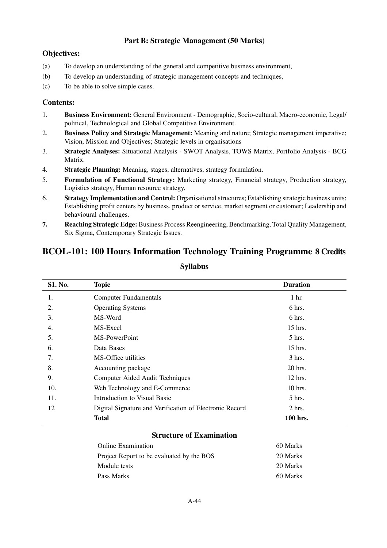# **Part B: Strategic Management (50 Marks)**

## **Objectives:**

- (a) To develop an understanding of the general and competitive business environment,
- (b) To develop an understanding of strategic management concepts and techniques,
- (c) To be able to solve simple cases.

#### **Contents:**

- 1. **Business Environment:** General Environment Demographic, Socio-cultural, Macro-economic, Legal/ political, Technological and Global Competitive Environment.
- 2. **Business Policy and Strategic Management:** Meaning and nature; Strategic management imperative; Vision, Mission and Objectives; Strategic levels in organisations
- 3. **Strategic Analyses:** Situational Analysis SWOT Analysis, TOWS Matrix, Portfolio Analysis BCG Matrix.
- 4. **Strategic Planning:** Meaning, stages, alternatives, strategy formulation.
- 5. **Formulation of Functional Strategy:** Marketing strategy, Financial strategy, Production strategy, Logistics strategy, Human resource strategy.
- 6. **Strategy Implementation and Control:** Organisational structures; Establishing strategic business units; Establishing profit centers by business, product or service, market segment or customer; Leadership and behavioural challenges.
- **7. Reaching Strategic Edge:** Business Process Reengineering, Benchmarking, Total Quality Management, Six Sigma, Contemporary Strategic Issues.

# **BCOL-101: 100 Hours Information Technology Training Programme 8 Credits**

| <b>S1. No.</b> | <b>Topic</b>                                            | <b>Duration</b>  |
|----------------|---------------------------------------------------------|------------------|
| 1.             | <b>Computer Fundamentals</b>                            | 1 <sub>hr.</sub> |
| 2.             | <b>Operating Systems</b>                                | 6 hrs.           |
| 3.             | MS-Word                                                 | 6 hrs.           |
| 4.             | MS-Excel                                                | 15 hrs.          |
| 5.             | MS-PowerPoint                                           | $5$ hrs.         |
| 6.             | Data Bases                                              | $15$ hrs.        |
| 7.             | MS-Office utilities                                     | $3 \text{ hrs.}$ |
| 8.             | Accounting package                                      | 20 hrs.          |
| 9.             | Computer Aided Audit Techniques                         | $12$ hrs.        |
| 10.            | Web Technology and E-Commerce                           | $10$ hrs.        |
| 11.            | Introduction to Visual Basic                            | $5$ hrs.         |
| 12             | Digital Signature and Verification of Electronic Record | $2$ hrs.         |
|                | <b>Total</b>                                            | 100 hrs.         |

# **Syllabus**

#### **Structure of Examination**

| <b>Online Examination</b>                 | 60 Marks |
|-------------------------------------------|----------|
| Project Report to be evaluated by the BOS | 20 Marks |
| Module tests                              | 20 Marks |
| Pass Marks                                | 60 Marks |
|                                           |          |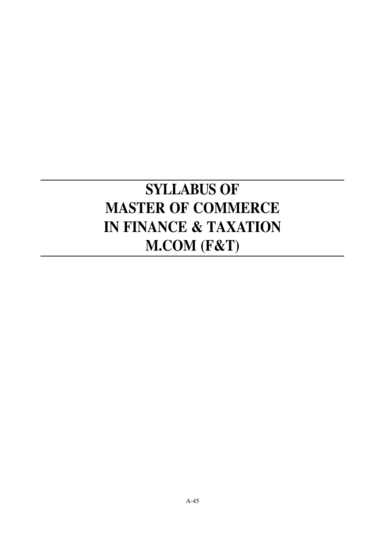# **SYLLABUS OF MASTER OF COMMERCE IN FINANCE & TAXATION M.COM (F&T)**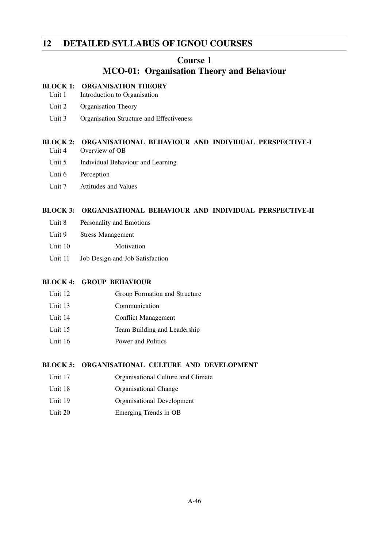# **12 DETAILED SYLLABUS OF IGNOU COURSES**

#### **Course 1**

# **MCO-01: Organisation Theory and Behaviour**

#### **BLOCK 1: ORGANISATION THEORY**

- Unit 1 Introduction to Organisation
- Unit 2 Organisation Theory
- Unit 3 Organisation Structure and Effectiveness

#### **BLOCK 2: ORGANISATIONAL BEHAVIOUR AND INDIVIDUAL PERSPECTIVE-I** Unit 4 Overview of OB

- Unit 5 Individual Behaviour and Learning
- Unti 6 Perception
- Unit 7 Attitudes and Values

#### **BLOCK 3: ORGANISATIONAL BEHAVIOUR AND INDIVIDUAL PERSPECTIVE-II**

- Unit 8 Personality and Emotions
- Unit 9 Stress Management
- Unit 10 Motivation
- Unit 11 Job Design and Job Satisfaction

#### **BLOCK 4: GROUP BEHAVIOUR**

- Unit 12 Group Formation and Structure
- Unit 13 Communication
- Unit 14 Conflict Management
- Unit 15 Team Building and Leadership
- Unit 16 Power and Politics

#### **BLOCK 5: ORGANISATIONAL CULTURE AND DEVELOPMENT**

- Unit 17 **Organisational Culture and Climate**
- Unit 18 Organisational Change
- Unit 19 Organisational Development
- Unit 20 Emerging Trends in OB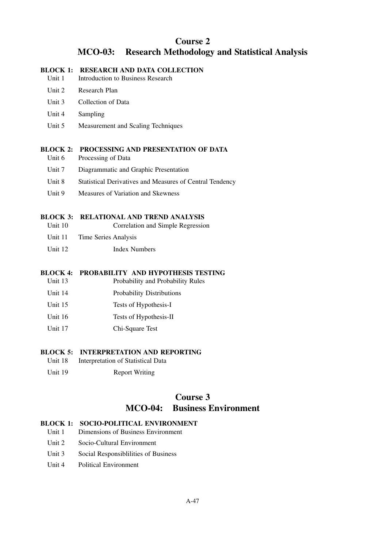# **Course 2 MCO-03: Research Methodology and Statistical Analysis**

#### **BLOCK 1: RESEARCH AND DATA COLLECTION**

- Unit 1 Introduction to Business Research
- Unit 2 Research Plan
- Unit 3 Collection of Data
- Unit 4 Sampling
- Unit 5 Measurement and Scaling Techniques

#### **BLOCK 2: PROCESSING AND PRESENTATION OF DATA**

- Unit 6 Processing of Data
- Unit 7 Diagrammatic and Graphic Presentation
- Unit 8 Statistical Derivatives and Measures of Central Tendency
- Unit 9 Measures of Variation and Skewness

#### **BLOCK 3: RELATIONAL AND TREND ANALYSIS**

- Unit 10 Correlation and Simple Regression
- Unit 11 Time Series Analysis
- Unit 12 Index Numbers

#### **BLOCK 4: PROBABILITY AND HYPOTHESIS TESTING**

- Unit 13 Probability and Probability Rules
- Unit 14 Probability Distributions
- Unit 15 Tests of Hypothesis-I
- Unit 16 Tests of Hypothesis-II
- Unit 17 Chi-Square Test

#### **BLOCK 5: INTERPRETATION AND REPORTING**

- Unit 18 Interpretation of Statistical Data
- Unit 19 Report Writing

# **Course 3 MCO-04: Business Environment**

#### **BLOCK 1: SOCIO-POLITICAL ENVIRONMENT**

- Unit 1 Dimensions of Business Environment
- Unit 2 Socio-Cultural Environment
- Unit 3 Social Responsibilities of Business
- Unit 4 Political Environment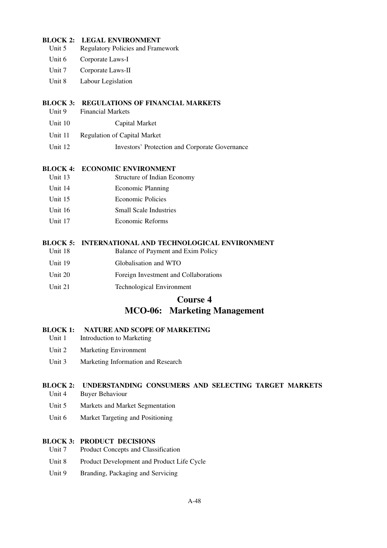#### **BLOCK 2: LEGAL ENVIRONMENT**

- Unit 5 Regulatory Policies and Framework
- Unit 6 Corporate Laws-I
- Unit 7 Corporate Laws-II
- Unit 8 Labour Legislation

#### **BLOCK 3: REGULATIONS OF FINANCIAL MARKETS**

- Unit 9 Financial Markets
- Unit 10 Capital Market
- Unit 11 Regulation of Capital Market
- Unit 12 Investors' Protection and Corporate Governance

#### **BLOCK 4: ECONOMIC ENVIRONMENT**

- Unit 13 Structure of Indian Economy
- Unit 14 Economic Planning
- Unit 15 Economic Policies
- Unit 16 Small Scale Industries
- Unit 17 Economic Reforms

#### **BLOCK 5: INTERNATIONAL AND TECHNOLOGICAL ENVIRONMENT**

- Unit 18 Balance of Payment and Exim Policy
- Unit 19 Globalisation and WTO
- Unit 20 Foreign Investment and Collaborations
- Unit 21 Technological Environment

#### **Course 4**

# **MCO-06: Marketing Management**

#### **BLOCK 1: NATURE AND SCOPE OF MARKETING**

- Unit 1 Introduction to Marketing
- Unit 2 Marketing Environment
- Unit 3 Marketing Information and Research

#### **BLOCK 2: UNDERSTANDING CONSUMERS AND SELECTING TARGET MARKETS**

- Unit 4 Buyer Behaviour
- Unit 5 Markets and Market Segmentation
- Unit 6 Market Targeting and Positioning

#### **BLOCK 3: PRODUCT DECISIONS**

- Unit 7 Product Concepts and Classification
- Unit 8 Product Development and Product Life Cycle
- Unit 9 Branding, Packaging and Servicing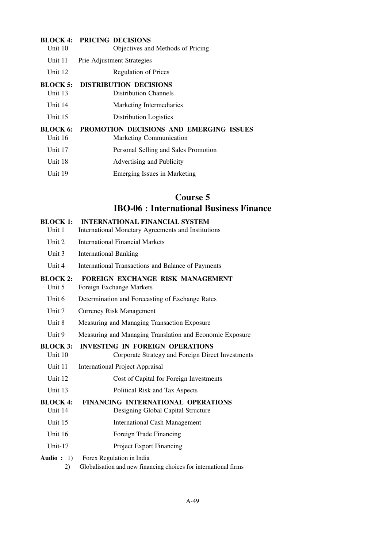#### **BLOCK 4: PRICING DECISIONS**

| Unit 10 | Objectives and Methods of Pricing |
|---------|-----------------------------------|
| Unit 11 | <b>Prie Adjustment Strategies</b> |
| Unit 12 | <b>Regulation of Prices</b>       |

#### **BLOCK 5: DISTRIBUTION DECISIONS**

- Unit 13 Distribution Channels
- Unit 14 Marketing Intermediaries
- Unit 15 Distribution Logistics

#### **BLOCK 6: PROMOTION DECISIONS AND EMERGING ISSUES**

- Unit 16 Marketing Communication
- Unit 17 Personal Selling and Sales Promotion
- Unit 18 Advertising and Publicity
- Unit 19 Emerging Issues in Marketing

# **Course 5 IBO-06 : International Business Finance**

#### **BLOCK 1: INTERNATIONAL FINANCIAL SYSTEM**

- Unit 1 International Monetary Agreements and Institutions
- Unit 2 International Financial Markets
- Unit 3 International Banking
- Unit 4 International Transactions and Balance of Payments

#### **BLOCK 2: FOREIGN EXCHANGE RISK MANAGEMENT**

- Unit 5 Foreign Exchange Markets
- Unit 6 Determination and Forecasting of Exchange Rates
- Unit 7 Currency Risk Management
- Unit 8 Measuring and Managing Transaction Exposure
- Unit 9 Measuring and Managing Translation and Economic Exposure

#### **BLOCK 3: INVESTING IN FOREIGN OPERATIONS**

- Unit 10 Corporate Strategy and Foreign Direct Investments
- Unit 11 International Project Appraisal
- Unit 12 Cost of Capital for Foreign Investments
- Unit 13 Political Risk and Tax Aspects

#### **BLOCK 4: FINANCING INTERNATIONAL OPERATIONS**

- Unit 14 Designing Global Capital Structure
- Unit 15 International Cash Management
- Unit 16 Foreign Trade Financing
- Unit-17 Project Export Financing

#### **Audio :** 1) Forex Regulation in India

2) Globalisation and new financing choices for international firms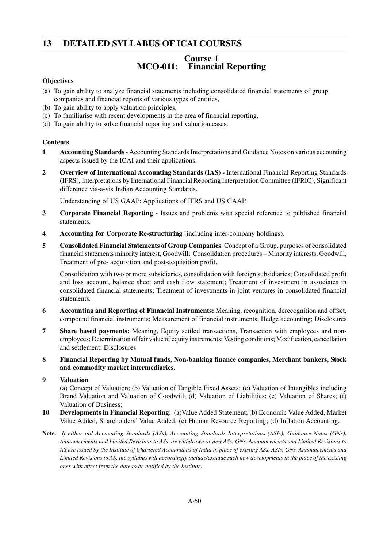# **13 DETAILED SYLLABUS OF ICAI COURSES**

# **Course 1 MCO-011: Financial Reporting**

#### **Objectives**

- (a) To gain ability to analyze financial statements including consolidated financial statements of group companies and financial reports of various types of entities,
- (b) To gain ability to apply valuation principles,
- (c) To familiarise with recent developments in the area of financial reporting,
- (d) To gain ability to solve financial reporting and valuation cases.

#### **Contents**

- **1 Accounting Standards** Accounting Standards Interpretations and Guidance Notes on various accounting aspects issued by the ICAI and their applications.
- **2 Overview of International Accounting Standards (IAS)** International Financial Reporting Standards (IFRS), Interpretations by International Financial Reporting Interpretation Committee (IFRIC), Significant difference vis-a-vis Indian Accounting Standards.

Understanding of US GAAP; Applications of IFRS and US GAAP.

- **3 Corporate Financial Reporting** Issues and problems with special reference to published financial statements.
- **4 Accounting for Corporate Re-structuring** (including inter-company holdings).
- **5 Consolidated Financial Statements of Group Companies**: Concept of a Group, purposes of consolidated financial statements minority interest, Goodwill; Consolidation procedures – Minority interests, Goodwill, Treatment of pre- acquisition and post-acquisition profit.

Consolidation with two or more subsidiaries, consolidation with foreign subsidiaries; Consolidated profit and loss account, balance sheet and cash flow statement; Treatment of investment in associates in consolidated financial statements; Treatment of investments in joint ventures in consolidated financial statements.

- **6 Accounting and Reporting of Financial Instruments:** Meaning, recognition, derecognition and offset, compound financial instruments; Measurement of financial instruments; Hedge accounting; Disclosures
- **7 Share based payments:** Meaning, Equity settled transactions, Transaction with employees and nonemployees; Determination of fair value of equity instruments; Vesting conditions; Modification, cancellation and settlement; Disclosures
- **8 Financial Reporting by Mutual funds, Non-banking finance companies, Merchant bankers, Stock and commodity market intermediaries.**

#### **9 Valuation**

(a) Concept of Valuation; (b) Valuation of Tangible Fixed Assets; (c) Valuation of Intangibles including Brand Valuation and Valuation of Goodwill; (d) Valuation of Liabilities; (e) Valuation of Shares; (f) Valuation of Business;

- **10 Developments in Financial Reporting**: (a)Value Added Statement; (b) Economic Value Added, Market Value Added, Shareholders' Value Added; (c) Human Resource Reporting; (d) Inflation Accounting.
- **Note**: *If either old Accounting Standards (ASs), Accounting Standards Interpretations (ASIs), Guidance Notes (GNs), Announcements and Limited Revisions to ASs are withdrawn or new ASs, GNs, Announcements and Limited Revisions to AS are issued by the Institute of Chartered Accountants of India in place of existing ASs, ASIs, GNs, Announcements and Limited Revisions to AS, the syllabus will accordingly include/exclude such new developments in the place of the existing ones with effect from the date to be notified by the Institute.*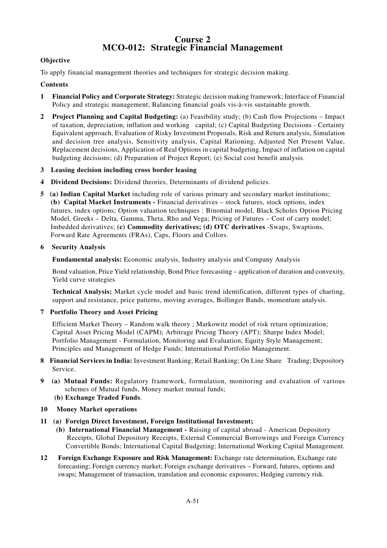# **Course 2 MCO-012: Strategic Financial Management**

#### **Objective**

To apply financial management theories and techniques for strategic decision making.

#### **Contents**

- **1 Financial Policy and Corporate Strategy:** Strategic decision making framework; Interface of Financial Policy and strategic management; Balancing financial goals vis-à-vis sustainable growth.
- **2 Project Planning and Capital Budgeting:** (a) Feasibility study; (b) Cash flow Projections Impact of taxation, depreciation, inflation and working capital; (c) Capital Budgeting Decisions - Certainty Equivalent approach, Evaluation of Risky Investment Proposals, Risk and Return analysis, Simulation and decision tree analysis, Sensitivity analysis, Capital Rationing, Adjusted Net Present Value, Replacement decisions, Application of Real Options in capital budgeting, Impact of inflation on capital budgeting decisions; (d) Preparation of Project Report; (e) Social cost benefit analysis.
- **3 Leasing decision including cross border leasing**
- **4 Dividend Decisions:** Dividend theories, Determinants of dividend policies.
- **5 (a) Indian Capital Market** including role of various primary and secondary market institutions; **(b) Capital Market Instruments -** Financial derivatives – stock futures, stock options, index futures, index options; Option valuation techniques : Binomial model, Black Scholes Option Pricing Model, Greeks – Delta, Gamma, Theta, Rho and Vega; Pricing of Futures – Cost of carry model; Imbedded derivatives; **(c) Commodity derivatives; (d) OTC derivatives** -Swaps, Swaptions, Forward Rate Agreements (FRAs), Caps, Floors and Collors.

#### **6 Security Analysis**

**Fundamental analysis:** Economic analysis, Industry analysis and Company Analysis

Bond valuation, Price Yield relationship, Bond Price forecasting – application of duration and convexity, Yield curve strategies

**Technical Analysis:** Market cycle model and basic trend identification, different types of charting, support and resistance, price patterns, moving averages, Bollinger Bands, momentum analysis.

**7 Portfolio Theory and Asset Pricing**

Efficient Market Theory – Random walk theory ; Markowitz model of risk return optimization; Capital Asset Pricing Model (CAPM); Arbitrage Pricing Theory (APT); Sharpe Index Model; Portfolio Management - Formulation, Monitoring and Evaluation; Equity Style Management; Principles and Management of Hedge Funds; International Portfolio Management.

- **8 Financial Services in India:** Investment Banking; Retail Banking; On Line Share Trading; Depository Service.
- **9 (a) Mutual Funds:** Regulatory framework, formulation, monitoring and evaluation of various schemes of Mutual funds, Money market mutual funds;
	- **(b) Exchange Traded Funds**.
- **10 Money Market operations**
- **11 (a) Foreign Direct Investment, Foreign Institutional Investment;**
	- **(b) International Financial Management** Raising of capital abroad American Depository Receipts, Global Depository Receipts, External Commercial Borrowings and Foreign Currency Convertible Bonds; International Capital Budgeting; International Working Capital Management.
- **12 Foreign Exchange Exposure and Risk Management:** Exchange rate determination, Exchange rate forecasting; Foreign currency market; Foreign exchange derivatives – Forward, futures, options and swaps; Management of transaction, translation and economic exposures; Hedging currency risk.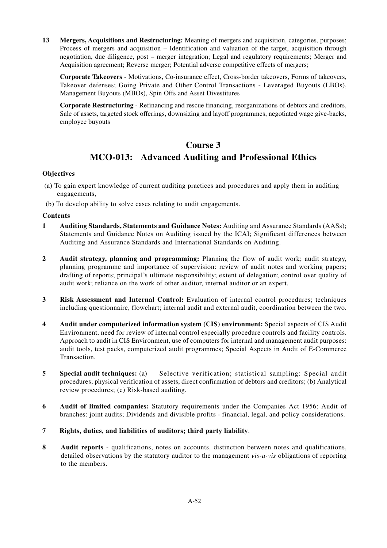**13 Mergers, Acquisitions and Restructuring:** Meaning of mergers and acquisition, categories, purposes; Process of mergers and acquisition – Identification and valuation of the target, acquisition through negotiation, due diligence, post – merger integration; Legal and regulatory requirements; Merger and Acquisition agreement; Reverse merger; Potential adverse competitive effects of mergers;

**Corporate Takeovers** - Motivations, Co-insurance effect, Cross-border takeovers, Forms of takeovers, Takeover defenses; Going Private and Other Control Transactions - Leveraged Buyouts (LBOs), Management Buyouts (MBOs), Spin Offs and Asset Divestitures

**Corporate Restructuring** - Refinancing and rescue financing, reorganizations of debtors and creditors, Sale of assets, targeted stock offerings, downsizing and layoff programmes, negotiated wage give-backs, employee buyouts

# **Course 3 MCO-013: Advanced Auditing and Professional Ethics**

#### **Objectives**

- (a) To gain expert knowledge of current auditing practices and procedures and apply them in auditing engagements,
- (b) To develop ability to solve cases relating to audit engagements.

#### **Contents**

- **1 Auditing Standards, Statements and Guidance Notes:** Auditing and Assurance Standards (AASs); Statements and Guidance Notes on Auditing issued by the ICAI; Significant differences between Auditing and Assurance Standards and International Standards on Auditing.
- **2 Audit strategy, planning and programming:** Planning the flow of audit work; audit strategy, planning programme and importance of supervision: review of audit notes and working papers; drafting of reports; principal's ultimate responsibility; extent of delegation; control over quality of audit work; reliance on the work of other auditor, internal auditor or an expert.
- **3 Risk Assessment and Internal Control:** Evaluation of internal control procedures; techniques including questionnaire, flowchart; internal audit and external audit, coordination between the two.
- **4 Audit under computerized information system (CIS) environment:** Special aspects of CIS Audit Environment, need for review of internal control especially procedure controls and facility controls. Approach to audit in CIS Environment, use of computers for internal and management audit purposes: audit tools, test packs, computerized audit programmes; Special Aspects in Audit of E-Commerce Transaction.
- **5 Special audit techniques:** (a) Selective verification; statistical sampling: Special audit procedures; physical verification of assets, direct confirmation of debtors and creditors; (b) Analytical review procedures; (c) Risk-based auditing.
- **6 Audit of limited companies:** Statutory requirements under the Companies Act 1956; Audit of branches: joint audits; Dividends and divisible profits - financial, legal, and policy considerations.
- **7 Rights, duties, and liabilities of auditors; third party liability**.
- **8 Audit reports** qualifications, notes on accounts, distinction between notes and qualifications, detailed observations by the statutory auditor to the management *vis-a-vis* obligations of reporting to the members.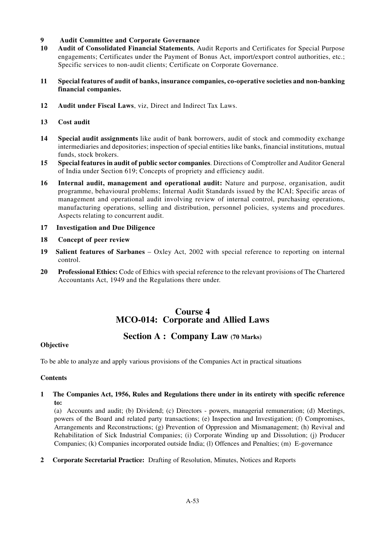#### **9 Audit Committee and Corporate Governance**

- **10 Audit of Consolidated Financial Statements**, Audit Reports and Certificates for Special Purpose engagements; Certificates under the Payment of Bonus Act, import/export control authorities, etc.; Specific services to non-audit clients; Certificate on Corporate Governance.
- **11 Special features of audit of banks, insurance companies, co-operative societies and non-banking financial companies.**
- **12 Audit under Fiscal Laws**, viz, Direct and Indirect Tax Laws.
- **13 Cost audit**
- **14 Special audit assignments** like audit of bank borrowers, audit of stock and commodity exchange intermediaries and depositories; inspection of special entities like banks, financial institutions, mutual funds, stock brokers.
- **15 Special features in audit of public sector companies**. Directions of Comptroller and Auditor General of India under Section 619; Concepts of propriety and efficiency audit.
- **16 Internal audit, management and operational audit:** Nature and purpose, organisation, audit programme, behavioural problems; Internal Audit Standards issued by the ICAI; Specific areas of management and operational audit involving review of internal control, purchasing operations, manufacturing operations, selling and distribution, personnel policies, systems and procedures. Aspects relating to concurrent audit.
- **17 Investigation and Due Diligence**
- **18 Concept of peer review**
- **19 Salient features of Sarbanes** Oxley Act, 2002 with special reference to reporting on internal control.
- **20 Professional Ethics:** Code of Ethics with special reference to the relevant provisions of The Chartered Accountants Act, 1949 and the Regulations there under.

# **Course 4 MCO-014: Corporate and Allied Laws**

# **Section A : Company Law (70 Marks)**

#### **Objective**

To be able to analyze and apply various provisions of the Companies Act in practical situations

#### **Contents**

#### **1 The Companies Act, 1956, Rules and Regulations there under in its entirety with specific reference to:**

(a) Accounts and audit; (b) Dividend; (c) Directors - powers, managerial remuneration; (d) Meetings, powers of the Board and related party transactions; (e) Inspection and Investigation; (f) Compromises, Arrangements and Reconstructions; (g) Prevention of Oppression and Mismanagement; (h) Revival and Rehabilitation of Sick Industrial Companies; (i) Corporate Winding up and Dissolution; (j) Producer Companies; (k) Companies incorporated outside India; (l) Offences and Penalties; (m) E-governance

**2 Corporate Secretarial Practice:** Drafting of Resolution, Minutes, Notices and Reports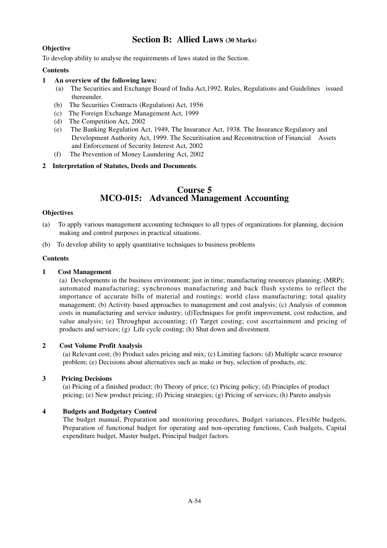# **Section B: Allied Laws (30 Marks)**

#### **Objective**

To develop ability to analyse the requirements of laws stated in the Section.

#### **Contents**

#### **1 An overview of the following laws:**

- (a) The Securities and Exchange Board of India Act,1992, Rules, Regulations and Guidelines issued thereunder.
- (b) The Securities Contracts (Regulation) Act, 1956
- (c) The Foreign Exchange Management Act, 1999
- (d) The Competition Act, 2002
- (e) The Banking Regulation Act, 1949, The Insurance Act, 1938. The Insurance Regulatory and Development Authority Act, 1999. The Securitisation and Reconstruction of Financial Assets and Enforcement of Security Interest Act, 2002
- (f) The Prevention of Money Laundering Act, 2002

#### **2 Interpretation of Statutes, Deeds and Documents**.

# **Course 5 MCO-015: Advanced Management Accounting**

#### **Objectives**

- (a) To apply various management accounting techniques to all types of organizations for planning, decision making and control purposes in practical situations.
- (b) To develop ability to apply quantitative techniques to business problems

#### **Contents**

#### **1 Cost Management**

(a) Developments in the business environment; just in time; manufacturing resources planning; (MRP); automated manufacturing; synchronous manufacturing and back flush systems to reflect the importance of accurate bills of material and routings; world class manufacturing; total quality management; (b) Activity based approaches to management and cost analysis; (c) Analysis of common costs in manufacturing and service industry; (d)Techniques for profit improvement, cost reduction, and value analysis; (e) Throughput accounting; (f) Target costing; cost ascertainment and pricing of products and services; (g) Life cycle costing; (h) Shut down and divestment.

#### **2 Cost Volume Profit Analysis**

(a) Relevant cost; (b) Product sales pricing and mix; (c) Limiting factors; (d) Multiple scarce resource problem; (e) Decisions about alternatives such as make or buy, selection of products, etc.

#### **3 Pricing Decisions**

(a) Pricing of a finished product; (b) Theory of price; (c) Pricing policy; (d) Principles of product pricing; (e) New product pricing; (f) Pricing strategies; (g) Pricing of services; (h) Pareto analysis

#### **4 Budgets and Budgetary Control**

The budget manual, Preparation and monitoring procedures, Budget variances, Flexible budgets, Preparation of functional budget for operating and non-operating functions, Cash budgets, Capital expenditure budget, Master budget, Principal budget factors.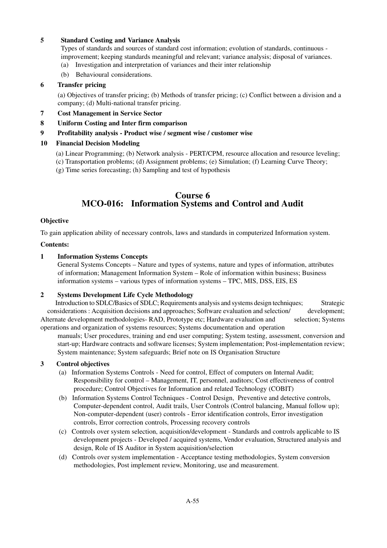#### **5 Standard Costing and Variance Analysis**

Types of standards and sources of standard cost information; evolution of standards, continuous improvement; keeping standards meaningful and relevant; variance analysis; disposal of variances.

- (a) Investigation and interpretation of variances and their inter relationship
- (b) Behavioural considerations.

#### **6 Transfer pricing**

 (a) Objectives of transfer pricing; (b) Methods of transfer pricing; (c) Conflict between a division and a company; (d) Multi-national transfer pricing.

- **7 Cost Management in Service Sector**
- **8 Uniform Costing and Inter firm comparison**

#### **9 Profitability analysis - Product wise / segment wise / customer wise**

#### **10 Financial Decision Modeling**

- (a) Linear Programming; (b) Network analysis PERT/CPM, resource allocation and resource leveling;
- (c) Transportation problems; (d) Assignment problems; (e) Simulation; (f) Learning Curve Theory;
- (g) Time series forecasting; (h) Sampling and test of hypothesis

# **Course 6 MCO-016: Information Systems and Control and Audit**

#### **Objective**

To gain application ability of necessary controls, laws and standards in computerized Information system.

#### **Contents:**

#### **1 Information Systems Concepts**

General Systems Concepts – Nature and types of systems, nature and types of information, attributes of information; Management Information System – Role of information within business; Business information systems – various types of information systems – TPC, MIS, DSS, EIS, ES

#### **2 Systems Development Life Cycle Methodology**

Introduction to SDLC/Basics of SDLC; Requirements analysis and systems design techniques; Strategic considerations : Acquisition decisions and approaches; Software evaluation and selection/ development; Alternate development methodologies- RAD, Prototype etc; Hardware evaluation and selection; Systems operations and organization of systems resources; Systems documentation and operation

manuals; User procedures, training and end user computing; System testing, assessment, conversion and start-up; Hardware contracts and software licenses; System implementation; Post-implementation review; System maintenance; System safeguards; Brief note on IS Organisation Structure

#### **3 Control objectives**

- (a) Information Systems Controls Need for control, Effect of computers on Internal Audit; Responsibility for control – Management, IT, personnel, auditors; Cost effectiveness of control procedure; Control Objectives for Information and related Technology (COBIT)
- (b) Information Systems Control Techniques Control Design, Preventive and detective controls, Computer-dependent control, Audit trails, User Controls (Control balancing, Manual follow up); Non-computer-dependent (user) controls - Error identification controls, Error investigation controls, Error correction controls, Processing recovery controls
- (c) Controls over system selection, acquisition/development Standards and controls applicable to IS development projects - Developed / acquired systems, Vendor evaluation, Structured analysis and design, Role of IS Auditor in System acquisition/selection
- (d) Controls over system implementation Acceptance testing methodologies, System conversion methodologies, Post implement review, Monitoring, use and measurement.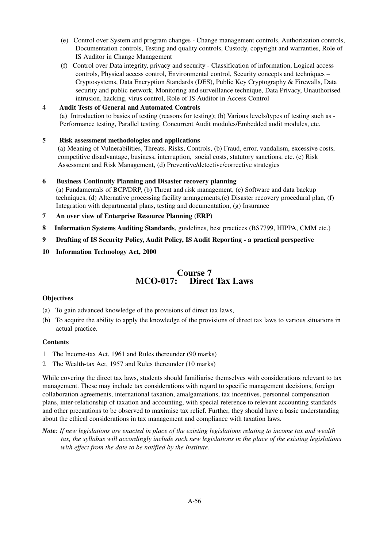- (e) Control over System and program changes Change management controls, Authorization controls, Documentation controls, Testing and quality controls, Custody, copyright and warranties, Role of IS Auditor in Change Management
- (f) Control over Data integrity, privacy and security Classification of information, Logical access controls, Physical access control, Environmental control, Security concepts and techniques – Cryptosystems, Data Encryption Standards (DES), Public Key Cryptography & Firewalls, Data security and public network, Monitoring and surveillance technique, Data Privacy, Unauthorised intrusion, hacking, virus control, Role of IS Auditor in Access Control
- 4 **Audit Tests of General and Automated Controls** (a) Introduction to basics of testing (reasons for testing); (b) Various levels/types of testing such as - Performance testing, Parallel testing, Concurrent Audit modules/Embedded audit modules, etc.

#### **5 Risk assessment methodologies and applications**

 (a) Meaning of Vulnerabilities, Threats, Risks, Controls, (b) Fraud, error, vandalism, excessive costs, competitive disadvantage, business, interruption, social costs, statutory sanctions, etc. (c) Risk Assessment and Risk Management, (d) Preventive/detective/corrective strategies

#### **6 Business Continuity Planning and Disaster recovery planning**

(a) Fundamentals of BCP/DRP, (b) Threat and risk management, (c) Software and data backup techniques, (d) Alternative processing facility arrangements,(e) Disaster recovery procedural plan, (f) Integration with departmental plans, testing and documentation, (g) Insurance

**7 An over view of Enterprise Resource Planning (ERP)**

- **8 Information Systems Auditing Standards**, guidelines, best practices (BS7799, HIPPA, CMM etc.)
- **9 Drafting of IS Security Policy, Audit Policy, IS Audit Reporting a practical perspective**
- **10 Information Technology Act, 2000**

# **Course 7 MCO-017: Direct Tax Laws**

#### **Objectives**

- (a) To gain advanced knowledge of the provisions of direct tax laws,
- (b) To acquire the ability to apply the knowledge of the provisions of direct tax laws to various situations in actual practice.

#### **Contents**

- 1 The Income-tax Act, 1961 and Rules thereunder (90 marks)
- 2 The Wealth-tax Act, 1957 and Rules thereunder (10 marks)

While covering the direct tax laws, students should familiarise themselves with considerations relevant to tax management. These may include tax considerations with regard to specific management decisions, foreign collaboration agreements, international taxation, amalgamations, tax incentives, personnel compensation plans, inter-relationship of taxation and accounting, with special reference to relevant accounting standards and other precautions to be observed to maximise tax relief. Further, they should have a basic understanding about the ethical considerations in tax management and compliance with taxation laws.

*Note: If new legislations are enacted in place of the existing legislations relating to income tax and wealth tax, the syllabus will accordingly include such new legislations in the place of the existing legislations with effect from the date to be notified by the Institute.*